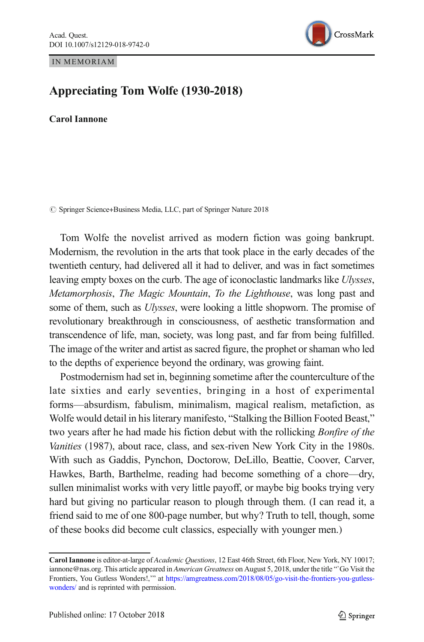IN MEMORIAM



## $\mathbf{H}$   $\mathbf{S}$  (1930-2018)

Carol Iannone

© Springer Science+Business Media, LLC, part of Springer Nature 2018

Tom Wolfe the novelist arrived as modern fiction was going bankrupt. Modernism, the revolution in the arts that took place in the early decades of the twentieth century, had delivered all it had to deliver, and was in fact sometimes leaving empty boxes on the curb. The age of iconoclastic landmarks like Ulysses, Metamorphosis, The Magic Mountain, To the Lighthouse, was long past and some of them, such as *Ulysses*, were looking a little shopworn. The promise of revolutionary breakthrough in consciousness, of aesthetic transformation and transcendence of life, man, society, was long past, and far from being fulfilled. The image of the writer and artist as sacred figure, the prophet or shaman who led to the depths of experience beyond the ordinary, was growing faint.

Postmodernism had set in, beginning sometime after the counterculture of the late sixties and early seventies, bringing in a host of experimental forms—absurdism, fabulism, minimalism, magical realism, metafiction, as Wolfe would detail in his literary manifesto, "Stalking the Billion Footed Beast," two years after he had made his fiction debut with the rollicking Bonfire of the Vanities (1987), about race, class, and sex-riven New York City in the 1980s. With such as Gaddis, Pynchon, Doctorow, DeLillo, Beattie, Coover, Carver, Hawkes, Barth, Barthelme, reading had become something of a chore—dry, sullen minimalist works with very little payoff, or maybe big books trying very hard but giving no particular reason to plough through them. (I can read it, a friend said to me of one 800-page number, but why? Truth to tell, though, some of these books did become cult classics, especially with younger men.)

Carol Iannone is editor-at-large of Academic Questions, 12 East 46th Street, 6th Floor, New York, NY 10017; iannone@nas.org. This article appeared in American Greatness on August 5, 2018, under the title "`Go Visit the Frontiers, You Gutless Wonders!,'" at [https://amgreatness.com/2018/08/05/go-visit-the-frontiers-you-gutless](http://dx.doi.org/https://amgreatness.com/2018/08/05/go-visit-the-frontiers-you-gutless-wonders/)[wonders/](http://dx.doi.org/https://amgreatness.com/2018/08/05/go-visit-the-frontiers-you-gutless-wonders/) and is reprinted with permission.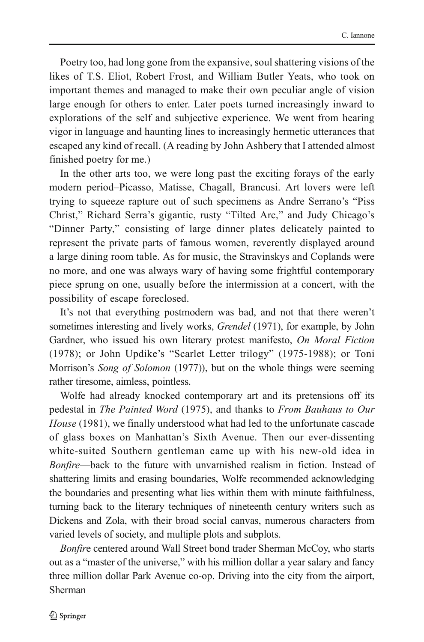Poetry too, had long gone from the expansive, soul shattering visions of the likes of T.S. Eliot, Robert Frost, and William Butler Yeats, who took on important themes and managed to make their own peculiar angle of vision large enough for others to enter. Later poets turned increasingly inward to explorations of the self and subjective experience. We went from hearing vigor in language and haunting lines to increasingly hermetic utterances that escaped any kind of recall. (A reading by John Ashbery that I attended almost finished poetry for me.)

In the other arts too, we were long past the exciting forays of the early modern period–Picasso, Matisse, Chagall, Brancusi. Art lovers were left trying to squeeze rapture out of such specimens as Andre Serrano's "Piss Christ," Richard Serra's gigantic, rusty "Tilted Arc," and Judy Chicago's "Dinner Party," consisting of large dinner plates delicately painted to represent the private parts of famous women, reverently displayed around a large dining room table. As for music, the Stravinskys and Coplands were no more, and one was always wary of having some frightful contemporary piece sprung on one, usually before the intermission at a concert, with the possibility of escape foreclosed.

It's not that everything postmodern was bad, and not that there weren't sometimes interesting and lively works, *Grendel* (1971), for example, by John Gardner, who issued his own literary protest manifesto, On Moral Fiction (1978); or John Updike's "Scarlet Letter trilogy" (1975-1988); or Toni Morrison's *Song of Solomon* (1977)), but on the whole things were seeming rather tiresome, aimless, pointless.

Wolfe had already knocked contemporary art and its pretensions off its pedestal in The Painted Word (1975), and thanks to From Bauhaus to Our House (1981), we finally understood what had led to the unfortunate cascade of glass boxes on Manhattan's Sixth Avenue. Then our ever-dissenting white-suited Southern gentleman came up with his new-old idea in Bonfire—back to the future with unvarnished realism in fiction. Instead of shattering limits and erasing boundaries, Wolfe recommended acknowledging the boundaries and presenting what lies within them with minute faithfulness, turning back to the literary techniques of nineteenth century writers such as Dickens and Zola, with their broad social canvas, numerous characters from varied levels of society, and multiple plots and subplots.

Bonfire centered around Wall Street bond trader Sherman McCoy, who starts out as a "master of the universe," with his million dollar a year salary and fancy three million dollar Park Avenue co-op. Driving into the city from the airport, Sherman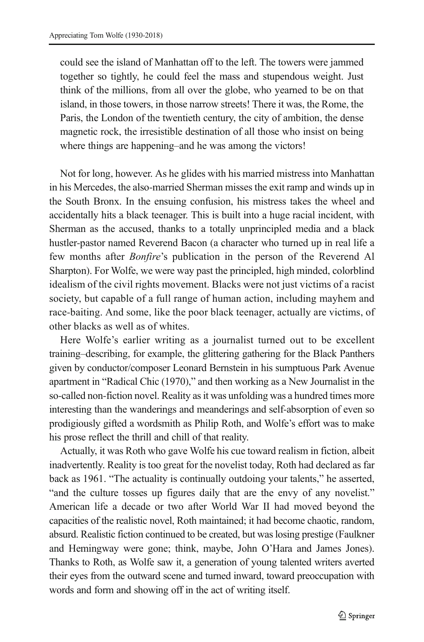could see the island of Manhattan off to the left. The towers were jammed together so tightly, he could feel the mass and stupendous weight. Just think of the millions, from all over the globe, who yearned to be on that island, in those towers, in those narrow streets! There it was, the Rome, the Paris, the London of the twentieth century, the city of ambition, the dense magnetic rock, the irresistible destination of all those who insist on being where things are happening–and he was among the victors!

Not for long, however. As he glides with his married mistress into Manhattan in his Mercedes, the also-married Sherman misses the exit ramp and winds up in the South Bronx. In the ensuing confusion, his mistress takes the wheel and accidentally hits a black teenager. This is built into a huge racial incident, with Sherman as the accused, thanks to a totally unprincipled media and a black hustler-pastor named Reverend Bacon (a character who turned up in real life a few months after Bonfire's publication in the person of the Reverend Al Sharpton). For Wolfe, we were way past the principled, high minded, colorblind idealism of the civil rights movement. Blacks were not just victims of a racist society, but capable of a full range of human action, including mayhem and race-baiting. And some, like the poor black teenager, actually are victims, of other blacks as well as of whites.

Here Wolfe's earlier writing as a journalist turned out to be excellent training–describing, for example, the glittering gathering for the Black Panthers given by conductor/composer Leonard Bernstein in his sumptuous Park Avenue apartment in "Radical Chic (1970)," and then working as a New Journalist in the so-called non-fiction novel. Reality as it was unfolding was a hundred times more interesting than the wanderings and meanderings and self-absorption of even so prodigiously gifted a wordsmith as Philip Roth, and Wolfe's effort was to make his prose reflect the thrill and chill of that reality.

Actually, it was Roth who gave Wolfe his cue toward realism in fiction, albeit inadvertently. Reality is too great for the novelist today, Roth had declared as far back as 1961. "The actuality is continually outdoing your talents," he asserted, "and the culture tosses up figures daily that are the envy of any novelist." American life a decade or two after World War II had moved beyond the capacities of the realistic novel, Roth maintained; it had become chaotic, random, absurd. Realistic fiction continued to be created, but was losing prestige (Faulkner and Hemingway were gone; think, maybe, John O'Hara and James Jones). Thanks to Roth, as Wolfe saw it, a generation of young talented writers averted their eyes from the outward scene and turned inward, toward preoccupation with words and form and showing off in the act of writing itself.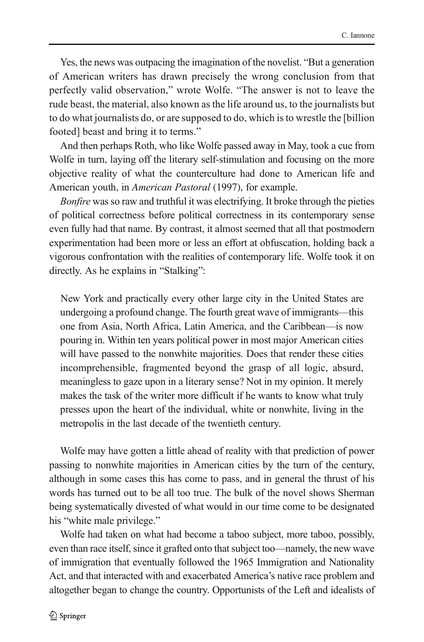Yes, the news was outpacing the imagination of the novelist. "But a generation of American writers has drawn precisely the wrong conclusion from that perfectly valid observation," wrote Wolfe. "The answer is not to leave the rude beast, the material, also known as the life around us, to the journalists but to do what journalists do, or are supposed to do, which is to wrestle the [billion footed] beast and bring it to terms."

And then perhaps Roth, who like Wolfe passed away in May, took a cue from Wolfe in turn, laying off the literary self-stimulation and focusing on the more objective reality of what the counterculture had done to American life and American youth, in *American Pastoral* (1997), for example.

Bonfire was so raw and truthful it was electrifying. It broke through the pieties of political correctness before political correctness in its contemporary sense even fully had that name. By contrast, it almost seemed that all that postmodern experimentation had been more or less an effort at obfuscation, holding back a vigorous confrontation with the realities of contemporary life. Wolfe took it on directly. As he explains in "Stalking":

New York and practically every other large city in the United States are undergoing a profound change. The fourth great wave of immigrants—this one from Asia, North Africa, Latin America, and the Caribbean—is now pouring in. Within ten years political power in most major American cities will have passed to the nonwhite majorities. Does that render these cities incomprehensible, fragmented beyond the grasp of all logic, absurd, meaningless to gaze upon in a literary sense? Not in my opinion. It merely makes the task of the writer more difficult if he wants to know what truly presses upon the heart of the individual, white or nonwhite, living in the metropolis in the last decade of the twentieth century.

Wolfe may have gotten a little ahead of reality with that prediction of power passing to nonwhite majorities in American cities by the turn of the century, although in some cases this has come to pass, and in general the thrust of his words has turned out to be all too true. The bulk of the novel shows Sherman being systematically divested of what would in our time come to be designated his "white male privilege."

Wolfe had taken on what had become a taboo subject, more taboo, possibly, even than race itself, since it grafted onto that subject too—namely, the new wave of immigration that eventually followed the 1965 Immigration and Nationality Act, and that interacted with and exacerbated America's native race problem and altogether began to change the country. Opportunists of the Left and idealists of